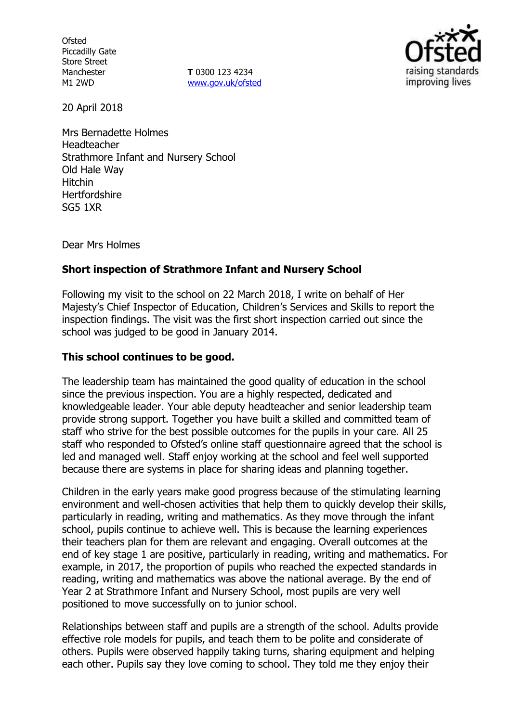**Ofsted** Piccadilly Gate Store Street Manchester M1 2WD

**T** 0300 123 4234 www.gov.uk/ofsted



20 April 2018

Mrs Bernadette Holmes Headteacher Strathmore Infant and Nursery School Old Hale Way Hitchin **Hertfordshire** SG5 1XR

Dear Mrs Holmes

## **Short inspection of Strathmore Infant and Nursery School**

Following my visit to the school on 22 March 2018, I write on behalf of Her Majesty's Chief Inspector of Education, Children's Services and Skills to report the inspection findings. The visit was the first short inspection carried out since the school was judged to be good in January 2014.

### **This school continues to be good.**

The leadership team has maintained the good quality of education in the school since the previous inspection. You are a highly respected, dedicated and knowledgeable leader. Your able deputy headteacher and senior leadership team provide strong support. Together you have built a skilled and committed team of staff who strive for the best possible outcomes for the pupils in your care. All 25 staff who responded to Ofsted's online staff questionnaire agreed that the school is led and managed well. Staff enjoy working at the school and feel well supported because there are systems in place for sharing ideas and planning together.

Children in the early years make good progress because of the stimulating learning environment and well-chosen activities that help them to quickly develop their skills, particularly in reading, writing and mathematics. As they move through the infant school, pupils continue to achieve well. This is because the learning experiences their teachers plan for them are relevant and engaging. Overall outcomes at the end of key stage 1 are positive, particularly in reading, writing and mathematics. For example, in 2017, the proportion of pupils who reached the expected standards in reading, writing and mathematics was above the national average. By the end of Year 2 at Strathmore Infant and Nursery School, most pupils are very well positioned to move successfully on to junior school.

Relationships between staff and pupils are a strength of the school. Adults provide effective role models for pupils, and teach them to be polite and considerate of others. Pupils were observed happily taking turns, sharing equipment and helping each other. Pupils say they love coming to school. They told me they enjoy their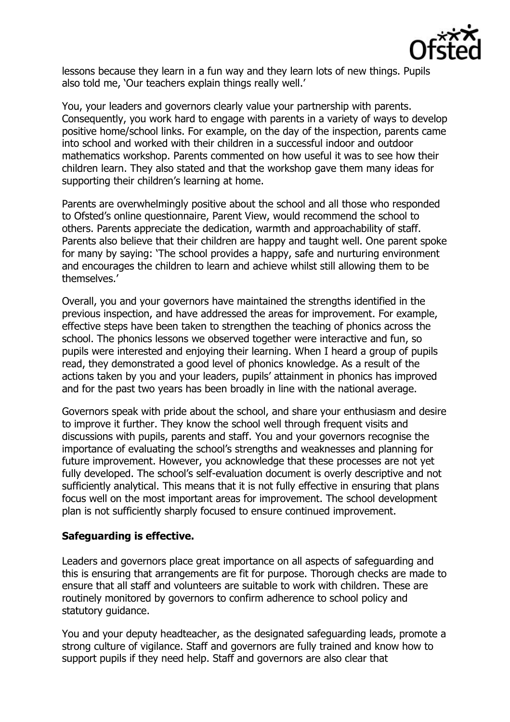

lessons because they learn in a fun way and they learn lots of new things. Pupils also told me, 'Our teachers explain things really well.'

You, your leaders and governors clearly value your partnership with parents. Consequently, you work hard to engage with parents in a variety of ways to develop positive home/school links. For example, on the day of the inspection, parents came into school and worked with their children in a successful indoor and outdoor mathematics workshop. Parents commented on how useful it was to see how their children learn. They also stated and that the workshop gave them many ideas for supporting their children's learning at home.

Parents are overwhelmingly positive about the school and all those who responded to Ofsted's online questionnaire, Parent View, would recommend the school to others. Parents appreciate the dedication, warmth and approachability of staff. Parents also believe that their children are happy and taught well. One parent spoke for many by saying: 'The school provides a happy, safe and nurturing environment and encourages the children to learn and achieve whilst still allowing them to be themselves.'

Overall, you and your governors have maintained the strengths identified in the previous inspection, and have addressed the areas for improvement. For example, effective steps have been taken to strengthen the teaching of phonics across the school. The phonics lessons we observed together were interactive and fun, so pupils were interested and enjoying their learning. When I heard a group of pupils read, they demonstrated a good level of phonics knowledge. As a result of the actions taken by you and your leaders, pupils' attainment in phonics has improved and for the past two years has been broadly in line with the national average.

Governors speak with pride about the school, and share your enthusiasm and desire to improve it further. They know the school well through frequent visits and discussions with pupils, parents and staff. You and your governors recognise the importance of evaluating the school's strengths and weaknesses and planning for future improvement. However, you acknowledge that these processes are not yet fully developed. The school's self-evaluation document is overly descriptive and not sufficiently analytical. This means that it is not fully effective in ensuring that plans focus well on the most important areas for improvement. The school development plan is not sufficiently sharply focused to ensure continued improvement.

#### **Safeguarding is effective.**

Leaders and governors place great importance on all aspects of safeguarding and this is ensuring that arrangements are fit for purpose. Thorough checks are made to ensure that all staff and volunteers are suitable to work with children. These are routinely monitored by governors to confirm adherence to school policy and statutory guidance.

You and your deputy headteacher, as the designated safeguarding leads, promote a strong culture of vigilance. Staff and governors are fully trained and know how to support pupils if they need help. Staff and governors are also clear that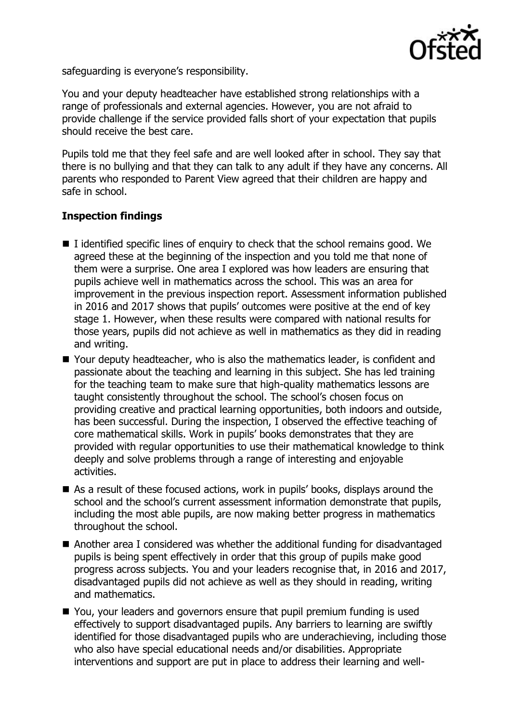

safeguarding is everyone's responsibility.

You and your deputy headteacher have established strong relationships with a range of professionals and external agencies. However, you are not afraid to provide challenge if the service provided falls short of your expectation that pupils should receive the best care.

Pupils told me that they feel safe and are well looked after in school. They say that there is no bullying and that they can talk to any adult if they have any concerns. All parents who responded to Parent View agreed that their children are happy and safe in school.

# **Inspection findings**

- $\blacksquare$  I identified specific lines of enquiry to check that the school remains good. We agreed these at the beginning of the inspection and you told me that none of them were a surprise. One area I explored was how leaders are ensuring that pupils achieve well in mathematics across the school. This was an area for improvement in the previous inspection report. Assessment information published in 2016 and 2017 shows that pupils' outcomes were positive at the end of key stage 1. However, when these results were compared with national results for those years, pupils did not achieve as well in mathematics as they did in reading and writing.
- Your deputy headteacher, who is also the mathematics leader, is confident and passionate about the teaching and learning in this subject. She has led training for the teaching team to make sure that high-quality mathematics lessons are taught consistently throughout the school. The school's chosen focus on providing creative and practical learning opportunities, both indoors and outside, has been successful. During the inspection, I observed the effective teaching of core mathematical skills. Work in pupils' books demonstrates that they are provided with regular opportunities to use their mathematical knowledge to think deeply and solve problems through a range of interesting and enjoyable activities.
- As a result of these focused actions, work in pupils' books, displays around the school and the school's current assessment information demonstrate that pupils, including the most able pupils, are now making better progress in mathematics throughout the school.
- Another area I considered was whether the additional funding for disadvantaged pupils is being spent effectively in order that this group of pupils make good progress across subjects. You and your leaders recognise that, in 2016 and 2017, disadvantaged pupils did not achieve as well as they should in reading, writing and mathematics.
- You, your leaders and governors ensure that pupil premium funding is used effectively to support disadvantaged pupils. Any barriers to learning are swiftly identified for those disadvantaged pupils who are underachieving, including those who also have special educational needs and/or disabilities. Appropriate interventions and support are put in place to address their learning and well-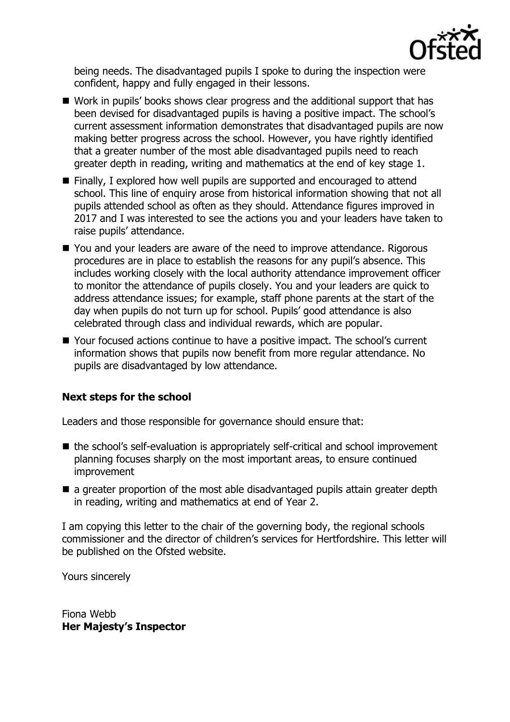

being needs. The disadvantaged pupils I spoke to during the inspection were confident, happy and fully engaged in their lessons.

- Work in pupils' books shows clear progress and the additional support that has been devised for disadvantaged pupils is having a positive impact. The school's current assessment information demonstrates that disadvantaged pupils are now making better progress across the school. However, you have rightly identified that a greater number of the most able disadvantaged pupils need to reach greater depth in reading, writing and mathematics at the end of key stage 1.
- Finally, I explored how well pupils are supported and encouraged to attend school. This line of enquiry arose from historical information showing that not all pupils attended school as often as they should. Attendance figures improved in 2017 and I was interested to see the actions you and your leaders have taken to raise pupils' attendance.
- You and your leaders are aware of the need to improve attendance. Rigorous procedures are in place to establish the reasons for any pupil's absence. This includes working closely with the local authority attendance improvement officer to monitor the attendance of pupils closely. You and your leaders are quick to address attendance issues; for example, staff phone parents at the start of the day when pupils do not turn up for school. Pupils' good attendance is also celebrated through class and individual rewards, which are popular.
- Your focused actions continue to have a positive impact. The school's current information shows that pupils now benefit from more regular attendance. No pupils are disadvantaged by low attendance.

# **Next steps for the school**

Leaders and those responsible for governance should ensure that:

- the school's self-evaluation is appropriately self-critical and school improvement planning focuses sharply on the most important areas, to ensure continued improvement
- a greater proportion of the most able disadvantaged pupils attain greater depth in reading, writing and mathematics at end of Year 2.

I am copying this letter to the chair of the governing body, the regional schools commissioner and the director of children's services for Hertfordshire. This letter will be published on the Ofsted website.

Yours sincerely

Fiona Webb **Her Majesty's Inspector**